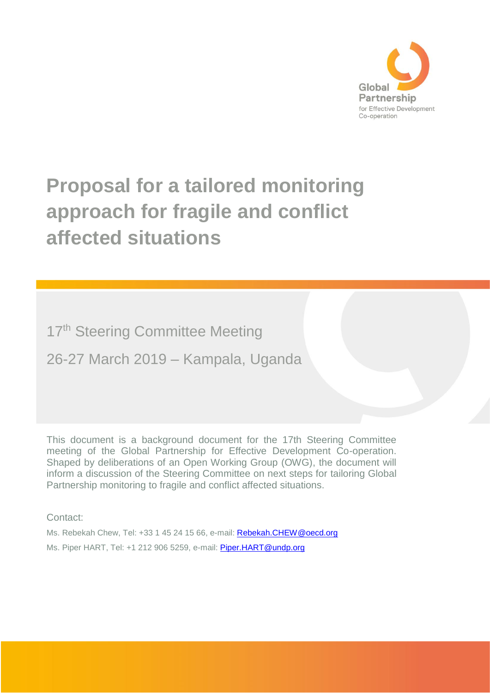

# **Proposal for a tailored monitoring approach for fragile and conflict affected situations**

17<sup>th</sup> Steering Committee Meeting

26-27 March 2019 – Kampala, Uganda

This document is a background document for the 17th Steering Committee meeting of the Global Partnership for Effective Development Co-operation. Shaped by deliberations of an Open Working Group (OWG), the document will inform a discussion of the Steering Committee on next steps for tailoring Global Partnership monitoring to fragile and conflict affected situations.

Contact:

Ms. Rebekah Chew, Tel: +33 1 45 24 15 66, e-mail: [Rebekah.CHEW@oecd.org](mailto:Rebekah.CHEW@oecd.org)  Ms. Piper HART, Tel: +1 212 906 5259, e-mail: [Piper.HART@undp.org](mailto:Piper.HART@undp.org)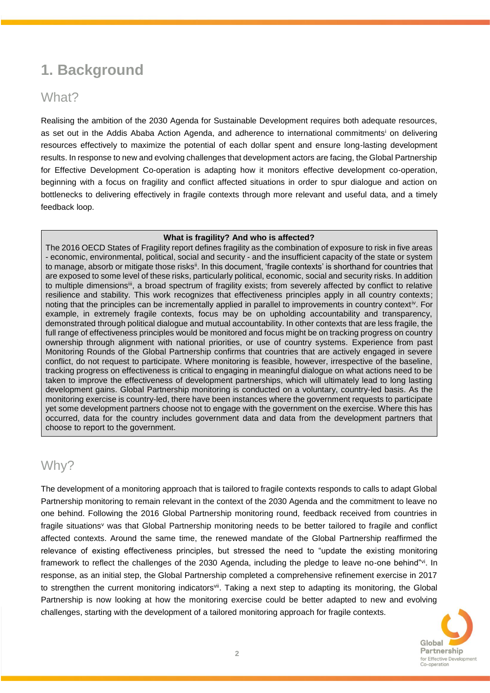# **1. Background**

## What?

Realising the ambition of the 2030 Agenda for Sustainable Development requires both adequate resources, as set out in the Addis Ababa Action Agenda, and adherence to international commitments<sup>i</sup> on delivering resources effectively to maximize the potential of each dollar spent and ensure long-lasting development results. In response to new and evolving challenges that development actors are facing, the Global Partnership for Effective Development Co-operation is adapting how it monitors effective development co-operation, beginning with a focus on fragility and conflict affected situations in order to spur dialogue and action on bottlenecks to delivering effectively in fragile contexts through more relevant and useful data, and a timely feedback loop.

#### **What is fragility? And who is affected?**

The 2016 OECD States of Fragility report defines fragility as the combination of exposure to risk in five areas - economic, environmental, political, social and security - and the insufficient capacity of the state or system to manage, absorb or mitigate those risks<sup>ii</sup>. In this document, 'fragile contexts' is shorthand for countries that are exposed to some level of these risks, particularly political, economic, social and security risks. In addition to multiple dimensions<sup>iii</sup>, a broad spectrum of fragility exists; from severely affected by conflict to relative resilience and stability. This work recognizes that effectiveness principles apply in all country contexts; noting that the principles can be incrementally applied in parallel to improvements in country contextiv. For example, in extremely fragile contexts, focus may be on upholding accountability and transparency, demonstrated through political dialogue and mutual accountability. In other contexts that are less fragile, the full range of effectiveness principles would be monitored and focus might be on tracking progress on country ownership through alignment with national priorities, or use of country systems. Experience from past Monitoring Rounds of the Global Partnership confirms that countries that are actively engaged in severe conflict, do not request to participate. Where monitoring is feasible, however, irrespective of the baseline, tracking progress on effectiveness is critical to engaging in meaningful dialogue on what actions need to be taken to improve the effectiveness of development partnerships, which will ultimately lead to long lasting development gains. Global Partnership monitoring is conducted on a voluntary, country-led basis. As the monitoring exercise is country-led, there have been instances where the government requests to participate yet some development partners choose not to engage with the government on the exercise. Where this has occurred, data for the country includes government data and data from the development partners that choose to report to the government.

### Why?

The development of a monitoring approach that is tailored to fragile contexts responds to calls to adapt Global Partnership monitoring to remain relevant in the context of the 2030 Agenda and the commitment to leave no one behind. Following the 2016 Global Partnership monitoring round, feedback received from countries in fragile situations<sup>v</sup> was that Global Partnership monitoring needs to be better tailored to fragile and conflict affected contexts. Around the same time, the renewed mandate of the Global Partnership reaffirmed the relevance of existing effectiveness principles, but stressed the need to "update the existing monitoring framework to reflect the challenges of the 2030 Agenda, including the pledge to leave no-one behind"vi. In response, as an initial step, the Global Partnership completed a comprehensive refinement exercise in 2017 to strengthen the current monitoring indicators<sup>vii</sup>. Taking a next step to adapting its monitoring, the Global Partnership is now looking at how the monitoring exercise could be better adapted to new and evolving challenges, starting with the development of a tailored monitoring approach for fragile contexts.

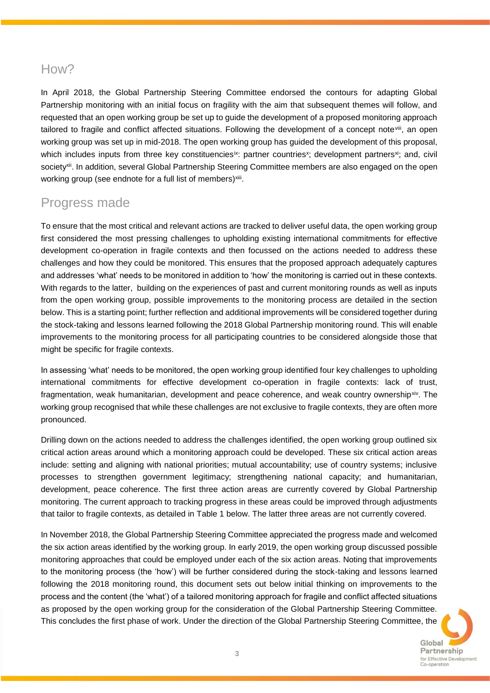### How?

In April 2018, the Global Partnership Steering Committee endorsed the contours for adapting Global Partnership monitoring with an initial focus on fragility with the aim that subsequent themes will follow, and requested that an open working group be set up to guide the development of a proposed monitoring approach tailored to fragile and conflict affected situations. Following the development of a concept notevili, an open working group was set up in mid-2018. The open working group has guided the development of this proposal, which includes inputs from three key constituencies<sup>ix</sup>: partner countries<sup>x</sup>; development partners<sup>xi</sup>; and, civil society<sup>xii</sup>. In addition, several Global Partnership Steering Committee members are also engaged on the open working group (see endnote for a full list of members)<sup>xiii</sup>.

# Progress made

To ensure that the most critical and relevant actions are tracked to deliver useful data, the open working group first considered the most pressing challenges to upholding existing international commitments for effective development co-operation in fragile contexts and then focussed on the actions needed to address these challenges and how they could be monitored. This ensures that the proposed approach adequately captures and addresses 'what' needs to be monitored in addition to 'how' the monitoring is carried out in these contexts. With regards to the latter, building on the experiences of past and current monitoring rounds as well as inputs from the open working group, possible improvements to the monitoring process are detailed in the section below. This is a starting point; further reflection and additional improvements will be considered together during the stock-taking and lessons learned following the 2018 Global Partnership monitoring round. This will enable improvements to the monitoring process for all participating countries to be considered alongside those that might be specific for fragile contexts.

In assessing 'what' needs to be monitored, the open working group identified four key challenges to upholding international commitments for effective development co-operation in fragile contexts: lack of trust, fragmentation, weak humanitarian, development and peace coherence, and weak country ownership<sup>xiv</sup>. The working group recognised that while these challenges are not exclusive to fragile contexts, they are often more pronounced.

Drilling down on the actions needed to address the challenges identified, the open working group outlined six critical action areas around which a monitoring approach could be developed. These six critical action areas include: setting and aligning with national priorities; mutual accountability; use of country systems; inclusive processes to strengthen government legitimacy; strengthening national capacity; and humanitarian, development, peace coherence. The first three action areas are currently covered by Global Partnership monitoring. The current approach to tracking progress in these areas could be improved through adjustments that tailor to fragile contexts, as detailed in Table 1 below. The latter three areas are not currently covered.

In November 2018, the Global Partnership Steering Committee appreciated the progress made and welcomed the six action areas identified by the working group. In early 2019, the open working group discussed possible monitoring approaches that could be employed under each of the six action areas. Noting that improvements to the monitoring process (the 'how') will be further considered during the stock-taking and lessons learned following the 2018 monitoring round, this document sets out below initial thinking on improvements to the process and the content (the 'what') of a tailored monitoring approach for fragile and conflict affected situations as proposed by the open working group for the consideration of the Global Partnership Steering Committee. This concludes the first phase of work. Under the direction of the Global Partnership Steering Committee, the

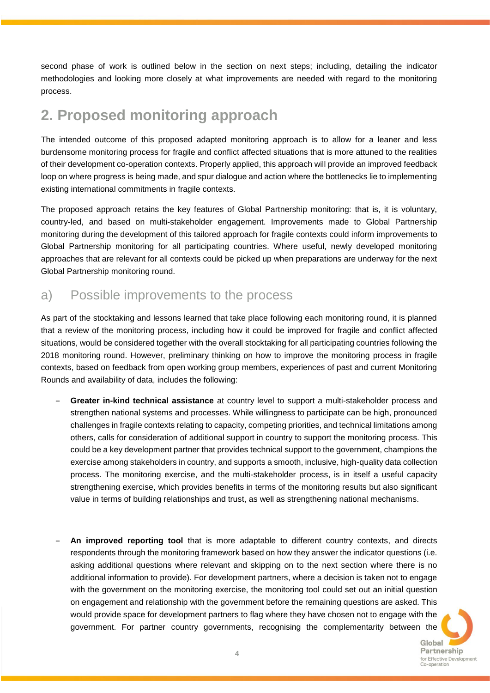second phase of work is outlined below in the section on next steps; including, detailing the indicator methodologies and looking more closely at what improvements are needed with regard to the monitoring process.

# **2. Proposed monitoring approach**

The intended outcome of this proposed adapted monitoring approach is to allow for a leaner and less burdensome monitoring process for fragile and conflict affected situations that is more attuned to the realities of their development co-operation contexts. Properly applied, this approach will provide an improved feedback loop on where progress is being made, and spur dialogue and action where the bottlenecks lie to implementing existing international commitments in fragile contexts.

The proposed approach retains the key features of Global Partnership monitoring: that is, it is voluntary, country-led, and based on multi-stakeholder engagement. Improvements made to Global Partnership monitoring during the development of this tailored approach for fragile contexts could inform improvements to Global Partnership monitoring for all participating countries. Where useful, newly developed monitoring approaches that are relevant for all contexts could be picked up when preparations are underway for the next Global Partnership monitoring round.

### a) Possible improvements to the process

As part of the stocktaking and lessons learned that take place following each monitoring round, it is planned that a review of the monitoring process, including how it could be improved for fragile and conflict affected situations, would be considered together with the overall stocktaking for all participating countries following the 2018 monitoring round. However, preliminary thinking on how to improve the monitoring process in fragile contexts, based on feedback from open working group members, experiences of past and current Monitoring Rounds and availability of data, includes the following:

- ‒ **Greater in-kind technical assistance** at country level to support a multi-stakeholder process and strengthen national systems and processes. While willingness to participate can be high, pronounced challenges in fragile contexts relating to capacity, competing priorities, and technical limitations among others, calls for consideration of additional support in country to support the monitoring process. This could be a key development partner that provides technical support to the government, champions the exercise among stakeholders in country, and supports a smooth, inclusive, high-quality data collection process. The monitoring exercise, and the multi-stakeholder process, is in itself a useful capacity strengthening exercise, which provides benefits in terms of the monitoring results but also significant value in terms of building relationships and trust, as well as strengthening national mechanisms.
- ‒ **An improved reporting tool** that is more adaptable to different country contexts, and directs respondents through the monitoring framework based on how they answer the indicator questions (i.e. asking additional questions where relevant and skipping on to the next section where there is no additional information to provide). For development partners, where a decision is taken not to engage with the government on the monitoring exercise, the monitoring tool could set out an initial question on engagement and relationship with the government before the remaining questions are asked. This would provide space for development partners to flag where they have chosen not to engage with the government. For partner country governments, recognising the complementarity between the

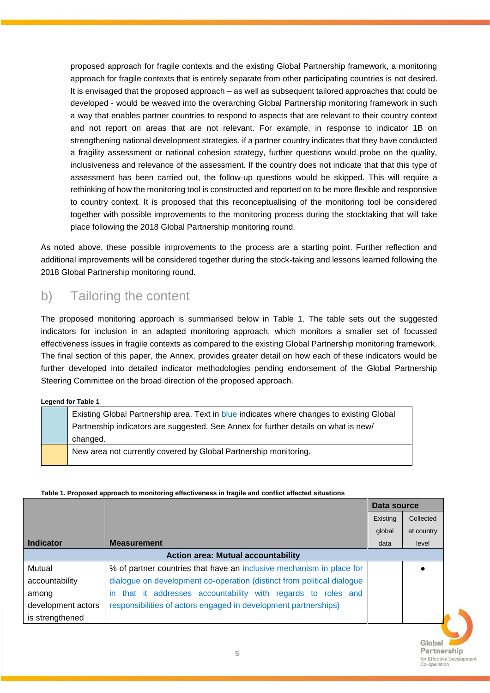proposed approach for fragile contexts and the existing Global Partnership framework, a monitoring approach for fragile contexts that is entirely separate from other participating countries is not desired. It is envisaged that the proposed approach – as well as subsequent tailored approaches that could be developed - would be weaved into the overarching Global Partnership monitoring framework in such a way that enables partner countries to respond to aspects that are relevant to their country context and not report on areas that are not relevant. For example, in response to indicator 1B on strengthening national development strategies, if a partner country indicates that they have conducted a fragility assessment or national cohesion strategy, further questions would probe on the quality, inclusiveness and relevance of the assessment. If the country does not indicate that that this type of assessment has been carried out, the follow-up questions would be skipped. This will require a rethinking of how the monitoring tool is constructed and reported on to be more flexible and responsive to country context. It is proposed that this reconceptualising of the monitoring tool be considered together with possible improvements to the monitoring process during the stocktaking that will take place following the 2018 Global Partnership monitoring round.

As noted above, these possible improvements to the process are a starting point. Further reflection and additional improvements will be considered together during the stock-taking and lessons learned following the 2018 Global Partnership monitoring round.

### b) Tailoring the content

The proposed monitoring approach is summarised below in Table 1. The table sets out the suggested indicators for inclusion in an adapted monitoring approach, which monitors a smaller set of focussed effectiveness issues in fragile contexts as compared to the existing Global Partnership monitoring framework. The final section of this paper, the Annex, provides greater detail on how each of these indicators would be further developed into detailed indicator methodologies pending endorsement of the Global Partnership Steering Committee on the broad direction of the proposed approach.

#### **Legend for Table 1**

| Existing Global Partnership area. Text in blue indicates where changes to existing Global |
|-------------------------------------------------------------------------------------------|
| Partnership indicators are suggested. See Annex for further details on what is new/       |
| changed.                                                                                  |
| New area not currently covered by Global Partnership monitoring.                          |

#### **Table 1. Proposed approach to monitoring effectiveness in fragile and conflict affected situations**

|                                           |                                                                            | Data source |            |
|-------------------------------------------|----------------------------------------------------------------------------|-------------|------------|
|                                           |                                                                            | Existing    | Collected  |
|                                           |                                                                            | global      | at country |
| <b>Indicator</b>                          | <b>Measurement</b>                                                         | data        | level      |
| <b>Action area: Mutual accountability</b> |                                                                            |             |            |
| Mutual                                    | % of partner countries that have an inclusive mechanism in place for       |             |            |
| accountability                            | dialogue on development co-operation (distinct from political dialogue     |             |            |
| among                                     | that it addresses accountability with regards to roles and<br>$\mathsf{I}$ |             |            |
| development actors                        | responsibilities of actors engaged in development partnerships)            |             |            |
| is strengthened                           |                                                                            |             |            |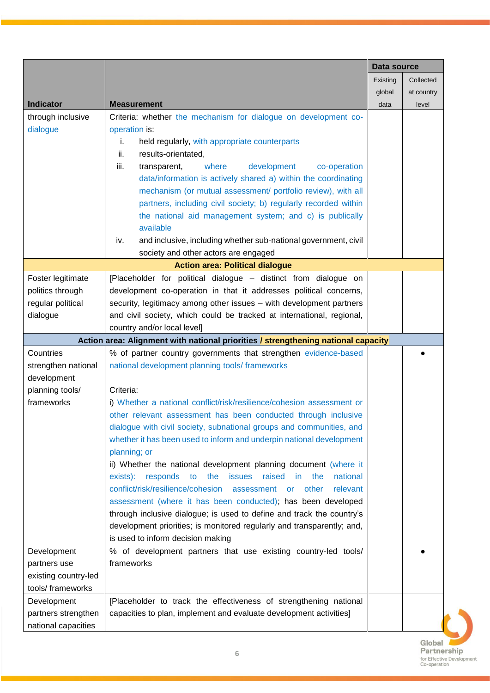|                               |                                                                                    | Data source |                 |
|-------------------------------|------------------------------------------------------------------------------------|-------------|-----------------|
|                               |                                                                                    | Existing    | Collected       |
|                               |                                                                                    | global      | at country      |
| <b>Indicator</b>              | <b>Measurement</b>                                                                 | data        | level           |
| through inclusive             | Criteria: whether the mechanism for dialogue on development co-                    |             |                 |
| dialogue                      | operation is:                                                                      |             |                 |
|                               | i.<br>held regularly, with appropriate counterparts                                |             |                 |
|                               | results-orientated,<br>ii.                                                         |             |                 |
|                               | iii.<br>where<br>development<br>co-operation<br>transparent,                       |             |                 |
|                               | data/information is actively shared a) within the coordinating                     |             |                 |
|                               | mechanism (or mutual assessment/ portfolio review), with all                       |             |                 |
|                               | partners, including civil society; b) regularly recorded within                    |             |                 |
|                               | the national aid management system; and c) is publically                           |             |                 |
|                               | available                                                                          |             |                 |
|                               | and inclusive, including whether sub-national government, civil<br>iv.             |             |                 |
|                               | society and other actors are engaged                                               |             |                 |
|                               | <b>Action area: Political dialogue</b>                                             |             |                 |
| Foster legitimate             | [Placeholder for political dialogue - distinct from dialogue on                    |             |                 |
| politics through              | development co-operation in that it addresses political concerns,                  |             |                 |
| regular political             | security, legitimacy among other issues - with development partners                |             |                 |
| dialogue                      | and civil society, which could be tracked at international, regional,              |             |                 |
|                               | country and/or local level]                                                        |             |                 |
|                               | Action area: Alignment with national priorities / strengthening national capacity  |             |                 |
| Countries                     | % of partner country governments that strengthen evidence-based                    |             |                 |
| strengthen national           | national development planning tools/frameworks                                     |             |                 |
| development                   |                                                                                    |             |                 |
| planning tools/<br>frameworks | Criteria:<br>i) Whether a national conflict/risk/resilience/cohesion assessment or |             |                 |
|                               | other relevant assessment has been conducted through inclusive                     |             |                 |
|                               | dialogue with civil society, subnational groups and communities, and               |             |                 |
|                               | whether it has been used to inform and underpin national development               |             |                 |
|                               | planning; or                                                                       |             |                 |
|                               | ii) Whether the national development planning document (where it                   |             |                 |
|                               | exists): responds<br>the issues raised in<br>to<br>the<br>national                 |             |                 |
|                               | conflict/risk/resilience/cohesion<br>relevant<br>assessment<br>other<br><b>or</b>  |             |                 |
|                               | assessment (where it has been conducted); has been developed                       |             |                 |
|                               | through inclusive dialogue; is used to define and track the country's              |             |                 |
|                               | development priorities; is monitored regularly and transparently; and,             |             |                 |
|                               | is used to inform decision making                                                  |             |                 |
| Development                   | % of development partners that use existing country-led tools/                     |             |                 |
| partners use                  | frameworks                                                                         |             |                 |
| existing country-led          |                                                                                    |             |                 |
| tools/ frameworks             |                                                                                    |             |                 |
| Development                   | [Placeholder to track the effectiveness of strengthening national                  |             |                 |
| partners strengthen           | capacities to plan, implement and evaluate development activities]                 |             |                 |
| national capacities           |                                                                                    |             |                 |
|                               |                                                                                    |             | $C_{\text{le}}$ |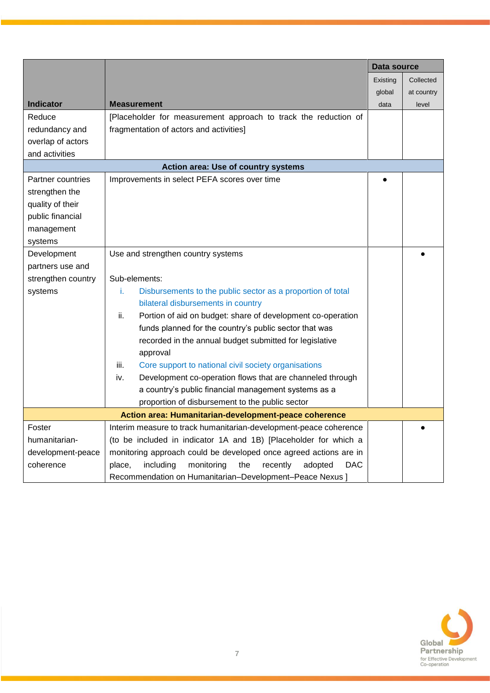|                    |                                                                        | Data source |            |
|--------------------|------------------------------------------------------------------------|-------------|------------|
|                    |                                                                        | Existing    | Collected  |
|                    |                                                                        | global      | at country |
| <b>Indicator</b>   | <b>Measurement</b>                                                     | data        | level      |
| Reduce             | [Placeholder for measurement approach to track the reduction of        |             |            |
| redundancy and     | fragmentation of actors and activities]                                |             |            |
| overlap of actors  |                                                                        |             |            |
| and activities     |                                                                        |             |            |
|                    | Action area: Use of country systems                                    |             |            |
| Partner countries  | Improvements in select PEFA scores over time                           |             |            |
| strengthen the     |                                                                        |             |            |
| quality of their   |                                                                        |             |            |
| public financial   |                                                                        |             |            |
| management         |                                                                        |             |            |
| systems            |                                                                        |             |            |
| Development        | Use and strengthen country systems                                     |             |            |
| partners use and   |                                                                        |             |            |
| strengthen country | Sub-elements:                                                          |             |            |
| systems            | i.<br>Disbursements to the public sector as a proportion of total      |             |            |
|                    | bilateral disbursements in country                                     |             |            |
|                    | ii.<br>Portion of aid on budget: share of development co-operation     |             |            |
|                    | funds planned for the country's public sector that was                 |             |            |
|                    | recorded in the annual budget submitted for legislative                |             |            |
|                    | approval                                                               |             |            |
|                    | iii.<br>Core support to national civil society organisations           |             |            |
|                    | Development co-operation flows that are channeled through<br>iv.       |             |            |
|                    | a country's public financial management systems as a                   |             |            |
|                    | proportion of disbursement to the public sector                        |             |            |
|                    | Action area: Humanitarian-development-peace coherence                  |             |            |
| Foster             | Interim measure to track humanitarian-development-peace coherence      |             |            |
| humanitarian-      | (to be included in indicator 1A and 1B) [Placeholder for which a       |             |            |
| development-peace  | monitoring approach could be developed once agreed actions are in      |             |            |
| coherence          | the<br>including<br>recently<br>monitoring<br>adopted<br>DAC<br>place, |             |            |
|                    | Recommendation on Humanitarian-Development-Peace Nexus ]               |             |            |

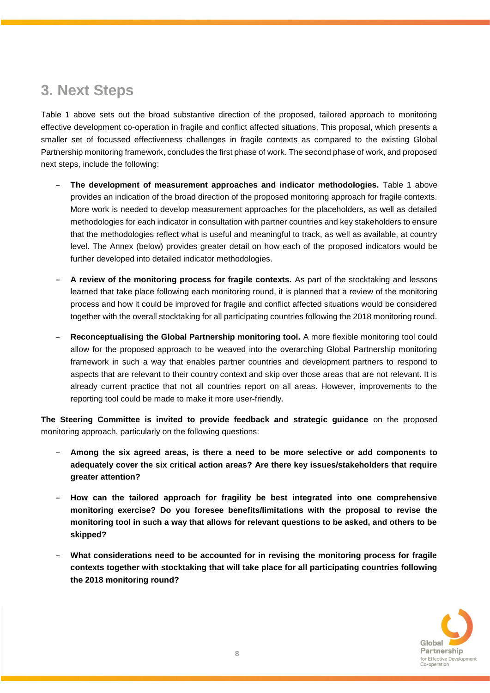# **3. Next Steps**

Table 1 above sets out the broad substantive direction of the proposed, tailored approach to monitoring effective development co-operation in fragile and conflict affected situations. This proposal, which presents a smaller set of focussed effectiveness challenges in fragile contexts as compared to the existing Global Partnership monitoring framework, concludes the first phase of work. The second phase of work, and proposed next steps, include the following:

- ‒ **The development of measurement approaches and indicator methodologies.** Table 1 above provides an indication of the broad direction of the proposed monitoring approach for fragile contexts. More work is needed to develop measurement approaches for the placeholders, as well as detailed methodologies for each indicator in consultation with partner countries and key stakeholders to ensure that the methodologies reflect what is useful and meaningful to track, as well as available, at country level. The Annex (below) provides greater detail on how each of the proposed indicators would be further developed into detailed indicator methodologies.
- ‒ **A review of the monitoring process for fragile contexts.** As part of the stocktaking and lessons learned that take place following each monitoring round, it is planned that a review of the monitoring process and how it could be improved for fragile and conflict affected situations would be considered together with the overall stocktaking for all participating countries following the 2018 monitoring round.
- ‒ **Reconceptualising the Global Partnership monitoring tool.** A more flexible monitoring tool could allow for the proposed approach to be weaved into the overarching Global Partnership monitoring framework in such a way that enables partner countries and development partners to respond to aspects that are relevant to their country context and skip over those areas that are not relevant. It is already current practice that not all countries report on all areas. However, improvements to the reporting tool could be made to make it more user-friendly.

**The Steering Committee is invited to provide feedback and strategic guidance** on the proposed monitoring approach, particularly on the following questions:

- ‒ **Among the six agreed areas, is there a need to be more selective or add components to adequately cover the six critical action areas? Are there key issues/stakeholders that require greater attention?**
- ‒ **How can the tailored approach for fragility be best integrated into one comprehensive monitoring exercise? Do you foresee benefits/limitations with the proposal to revise the monitoring tool in such a way that allows for relevant questions to be asked, and others to be skipped?**
- ‒ **What considerations need to be accounted for in revising the monitoring process for fragile contexts together with stocktaking that will take place for all participating countries following the 2018 monitoring round?**

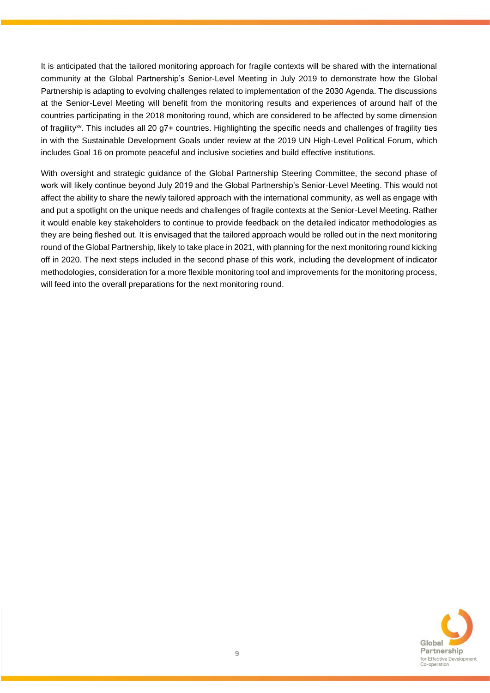It is anticipated that the tailored monitoring approach for fragile contexts will be shared with the international community at the Global Partnership's Senior-Level Meeting in July 2019 to demonstrate how the Global Partnership is adapting to evolving challenges related to implementation of the 2030 Agenda. The discussions at the Senior-Level Meeting will benefit from the monitoring results and experiences of around half of the countries participating in the 2018 monitoring round, which are considered to be affected by some dimension of fragility<sup>xv</sup>. This includes all 20 g7+ countries. Highlighting the specific needs and challenges of fragility ties in with the Sustainable Development Goals under review at the 2019 UN High-Level Political Forum, which includes Goal 16 on promote peaceful and inclusive societies and build effective institutions.

With oversight and strategic guidance of the Global Partnership Steering Committee, the second phase of work will likely continue beyond July 2019 and the Global Partnership's Senior-Level Meeting. This would not affect the ability to share the newly tailored approach with the international community, as well as engage with and put a spotlight on the unique needs and challenges of fragile contexts at the Senior-Level Meeting. Rather it would enable key stakeholders to continue to provide feedback on the detailed indicator methodologies as they are being fleshed out. It is envisaged that the tailored approach would be rolled out in the next monitoring round of the Global Partnership, likely to take place in 2021, with planning for the next monitoring round kicking off in 2020. The next steps included in the second phase of this work, including the development of indicator methodologies, consideration for a more flexible monitoring tool and improvements for the monitoring process, will feed into the overall preparations for the next monitoring round.

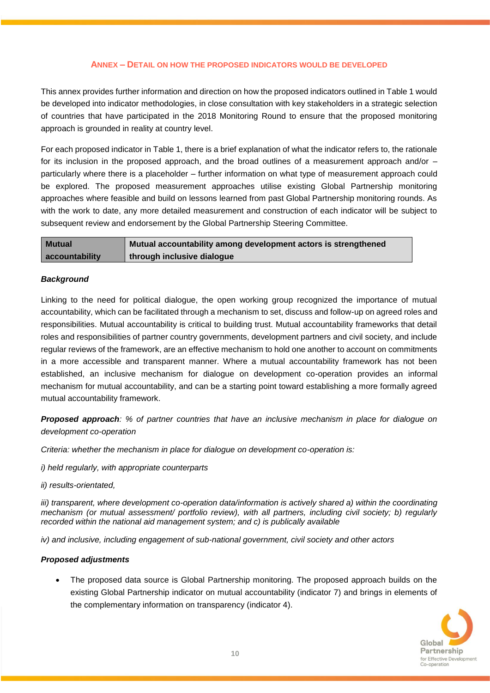#### **ANNEX – DETAIL ON HOW THE PROPOSED INDICATORS WOULD BE DEVELOPED**

This annex provides further information and direction on how the proposed indicators outlined in Table 1 would be developed into indicator methodologies, in close consultation with key stakeholders in a strategic selection of countries that have participated in the 2018 Monitoring Round to ensure that the proposed monitoring approach is grounded in reality at country level.

For each proposed indicator in Table 1, there is a brief explanation of what the indicator refers to, the rationale for its inclusion in the proposed approach, and the broad outlines of a measurement approach and/or – particularly where there is a placeholder – further information on what type of measurement approach could be explored. The proposed measurement approaches utilise existing Global Partnership monitoring approaches where feasible and build on lessons learned from past Global Partnership monitoring rounds. As with the work to date, any more detailed measurement and construction of each indicator will be subject to subsequent review and endorsement by the Global Partnership Steering Committee.

| <b>Mutual</b>  | Mutual accountability among development actors is strengthened |
|----------------|----------------------------------------------------------------|
| accountability | through inclusive dialogue                                     |

#### *Background*

Linking to the need for political dialogue, the open working group recognized the importance of mutual accountability, which can be facilitated through a mechanism to set, discuss and follow-up on agreed roles and responsibilities. Mutual accountability is critical to building trust. Mutual accountability frameworks that detail roles and responsibilities of partner country governments, development partners and civil society, and include regular reviews of the framework, are an effective mechanism to hold one another to account on commitments in a more accessible and transparent manner. Where a mutual accountability framework has not been established, an inclusive mechanism for dialogue on development co-operation provides an informal mechanism for mutual accountability, and can be a starting point toward establishing a more formally agreed mutual accountability framework.

*Proposed approach: % of partner countries that have an inclusive mechanism in place for dialogue on development co-operation* 

*Criteria: whether the mechanism in place for dialogue on development co-operation is:*

*i) held regularly, with appropriate counterparts*

*ii) results-orientated,* 

*iii)* transparent, where development co-operation data/information is actively shared a) within the coordinating *mechanism (or mutual assessment/ portfolio review), with all partners, including civil society; b) regularly recorded within the national aid management system; and c) is publically available*

*iv) and inclusive, including engagement of sub-national government, civil society and other actors* 

#### *Proposed adjustments*

 The proposed data source is Global Partnership monitoring. The proposed approach builds on the existing Global Partnership indicator on mutual accountability (indicator 7) and brings in elements of the complementary information on transparency (indicator 4).

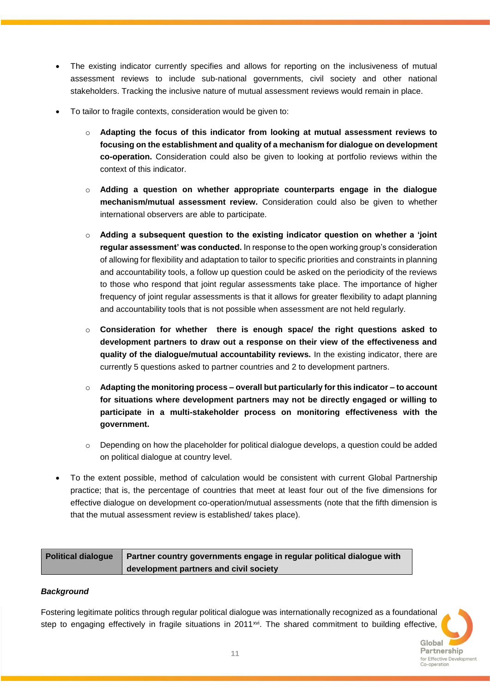- The existing indicator currently specifies and allows for reporting on the inclusiveness of mutual assessment reviews to include sub-national governments, civil society and other national stakeholders. Tracking the inclusive nature of mutual assessment reviews would remain in place.
- To tailor to fragile contexts, consideration would be given to:
	- o **Adapting the focus of this indicator from looking at mutual assessment reviews to focusing on the establishment and quality of a mechanism for dialogue on development co-operation.** Consideration could also be given to looking at portfolio reviews within the context of this indicator.
	- o **Adding a question on whether appropriate counterparts engage in the dialogue mechanism/mutual assessment review.** Consideration could also be given to whether international observers are able to participate.
	- o **Adding a subsequent question to the existing indicator question on whether a 'joint regular assessment' was conducted.** In response to the open working group's consideration of allowing for flexibility and adaptation to tailor to specific priorities and constraints in planning and accountability tools, a follow up question could be asked on the periodicity of the reviews to those who respond that joint regular assessments take place. The importance of higher frequency of joint regular assessments is that it allows for greater flexibility to adapt planning and accountability tools that is not possible when assessment are not held regularly.
	- o **Consideration for whether there is enough space/ the right questions asked to development partners to draw out a response on their view of the effectiveness and quality of the dialogue/mutual accountability reviews.** In the existing indicator, there are currently 5 questions asked to partner countries and 2 to development partners.
	- o **Adapting the monitoring process – overall but particularly for this indicator – to account for situations where development partners may not be directly engaged or willing to participate in a multi-stakeholder process on monitoring effectiveness with the government.**
	- o Depending on how the placeholder for political dialogue develops, a question could be added on political dialogue at country level.
- To the extent possible, method of calculation would be consistent with current Global Partnership practice; that is, the percentage of countries that meet at least four out of the five dimensions for effective dialogue on development co-operation/mutual assessments (note that the fifth dimension is that the mutual assessment review is established/ takes place).

| Political dialogue   Partner country governments engage in regular political dialogue with |
|--------------------------------------------------------------------------------------------|
| development partners and civil society                                                     |

#### *Background*

Fostering legitimate politics through regular political dialogue was internationally recognized as a foundational step to engaging effectively in fragile situations in  $2011 \times v$ . The shared commitment to building effective,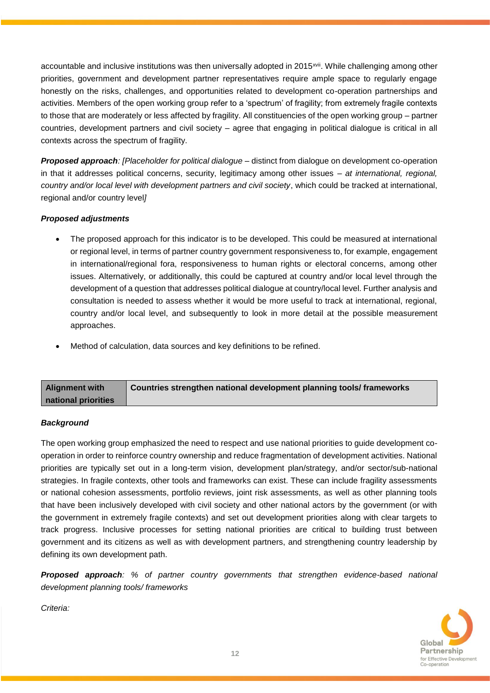accountable and inclusive institutions was then universally adopted in 2015<sup>xvii</sup>. While challenging among other priorities, government and development partner representatives require ample space to regularly engage honestly on the risks, challenges, and opportunities related to development co-operation partnerships and activities. Members of the open working group refer to a 'spectrum' of fragility; from extremely fragile contexts to those that are moderately or less affected by fragility. All constituencies of the open working group – partner countries, development partners and civil society – agree that engaging in political dialogue is critical in all contexts across the spectrum of fragility.

*Proposed approach: [Placeholder for political dialogue* – distinct from dialogue on development co-operation in that it addresses political concerns, security, legitimacy among other issues – *at international, regional, country and/or local level with development partners and civil society*, which could be tracked at international, regional and/or country level*]* 

#### *Proposed adjustments*

- The proposed approach for this indicator is to be developed. This could be measured at international or regional level, in terms of partner country government responsiveness to, for example, engagement in international/regional fora, responsiveness to human rights or electoral concerns, among other issues. Alternatively, or additionally, this could be captured at country and/or local level through the development of a question that addresses political dialogue at country/local level. Further analysis and consultation is needed to assess whether it would be more useful to track at international, regional, country and/or local level, and subsequently to look in more detail at the possible measurement approaches.
- Method of calculation, data sources and key definitions to be refined.

| <b>Alignment with</b> | Countries strengthen national development planning tools/ frameworks |
|-----------------------|----------------------------------------------------------------------|
| national priorities   |                                                                      |

#### *Background*

The open working group emphasized the need to respect and use national priorities to guide development cooperation in order to reinforce country ownership and reduce fragmentation of development activities. National priorities are typically set out in a long-term vision, development plan/strategy, and/or sector/sub-national strategies. In fragile contexts, other tools and frameworks can exist. These can include fragility assessments or national cohesion assessments, portfolio reviews, joint risk assessments, as well as other planning tools that have been inclusively developed with civil society and other national actors by the government (or with the government in extremely fragile contexts) and set out development priorities along with clear targets to track progress. Inclusive processes for setting national priorities are critical to building trust between government and its citizens as well as with development partners, and strengthening country leadership by defining its own development path.

*Proposed approach: % of partner country governments that strengthen evidence-based national development planning tools/ frameworks* 

*Criteria:* 

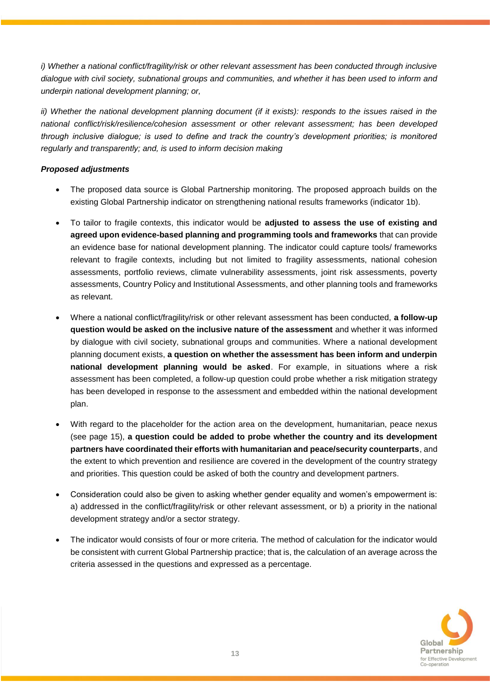*i)* Whether a national conflict/fragility/risk or other relevant assessment has been conducted through inclusive *dialogue with civil society, subnational groups and communities, and whether it has been used to inform and underpin national development planning; or,*

*ii*) Whether the national development planning document (if it exists): responds to the issues raised in the *national conflict/risk/resilience/cohesion assessment or other relevant assessment; has been developed through inclusive dialogue; is used to define and track the country's development priorities; is monitored regularly and transparently; and, is used to inform decision making*

#### *Proposed adjustments*

- The proposed data source is Global Partnership monitoring. The proposed approach builds on the existing Global Partnership indicator on strengthening national results frameworks (indicator 1b).
- To tailor to fragile contexts, this indicator would be **adjusted to assess the use of existing and agreed upon evidence-based planning and programming tools and frameworks** that can provide an evidence base for national development planning. The indicator could capture tools/ frameworks relevant to fragile contexts, including but not limited to fragility assessments, national cohesion assessments, portfolio reviews, climate vulnerability assessments, joint risk assessments, poverty assessments, Country Policy and Institutional Assessments, and other planning tools and frameworks as relevant.
- Where a national conflict/fragility/risk or other relevant assessment has been conducted, **a follow-up question would be asked on the inclusive nature of the assessment** and whether it was informed by dialogue with civil society, subnational groups and communities. Where a national development planning document exists, **a question on whether the assessment has been inform and underpin national development planning would be asked**. For example, in situations where a risk assessment has been completed, a follow-up question could probe whether a risk mitigation strategy has been developed in response to the assessment and embedded within the national development plan.
- With regard to the placeholder for the action area on the development, humanitarian, peace nexus (see page 15), **a question could be added to probe whether the country and its development partners have coordinated their efforts with humanitarian and peace/security counterparts**, and the extent to which prevention and resilience are covered in the development of the country strategy and priorities. This question could be asked of both the country and development partners.
- Consideration could also be given to asking whether gender equality and women's empowerment is: a) addressed in the conflict/fragility/risk or other relevant assessment, or b) a priority in the national development strategy and/or a sector strategy.
- The indicator would consists of four or more criteria. The method of calculation for the indicator would be consistent with current Global Partnership practice; that is, the calculation of an average across the criteria assessed in the questions and expressed as a percentage.

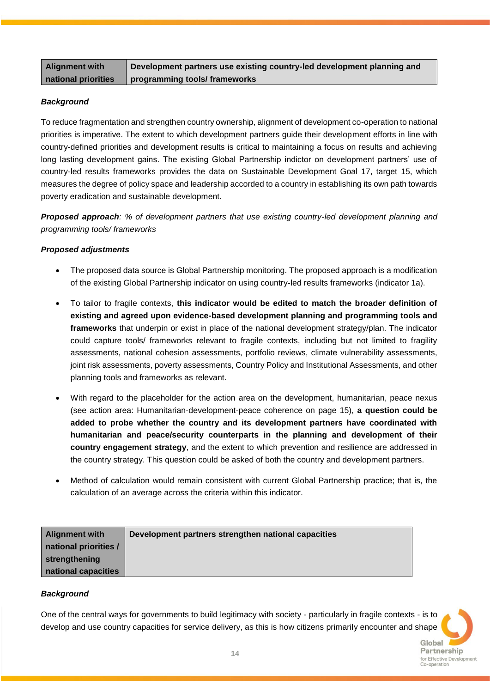**Development partners use existing country-led development planning and programming tools/ frameworks**

#### *Background*

To reduce fragmentation and strengthen country ownership, alignment of development co-operation to national priorities is imperative. The extent to which development partners guide their development efforts in line with country-defined priorities and development results is critical to maintaining a focus on results and achieving long lasting development gains. The existing Global Partnership indictor on development partners' use of country-led results frameworks provides the data on Sustainable Development Goal 17, target 15, which measures the degree of policy space and leadership accorded to a country in establishing its own path towards poverty eradication and sustainable development.

*Proposed approach: % of development partners that use existing country-led development planning and programming tools/ frameworks* 

#### *Proposed adjustments*

- The proposed data source is Global Partnership monitoring. The proposed approach is a modification of the existing Global Partnership indicator on using country-led results frameworks (indicator 1a).
- To tailor to fragile contexts, **this indicator would be edited to match the broader definition of existing and agreed upon evidence-based development planning and programming tools and frameworks** that underpin or exist in place of the national development strategy/plan. The indicator could capture tools/ frameworks relevant to fragile contexts, including but not limited to fragility assessments, national cohesion assessments, portfolio reviews, climate vulnerability assessments, joint risk assessments, poverty assessments, Country Policy and Institutional Assessments, and other planning tools and frameworks as relevant.
- With regard to the placeholder for the action area on the development, humanitarian, peace nexus (see action area: Humanitarian-development-peace coherence on page 15), **a question could be added to probe whether the country and its development partners have coordinated with humanitarian and peace/security counterparts in the planning and development of their country engagement strategy**, and the extent to which prevention and resilience are addressed in the country strategy. This question could be asked of both the country and development partners.
- Method of calculation would remain consistent with current Global Partnership practice; that is, the calculation of an average across the criteria within this indicator.

| <b>Alignment with</b> | Development partners strengthen national capacities |  |
|-----------------------|-----------------------------------------------------|--|
| national priorities / |                                                     |  |
| strengthening         |                                                     |  |
| national capacities   |                                                     |  |

#### *Background*

One of the central ways for governments to build legitimacy with society - particularly in fragile contexts - is to develop and use country capacities for service delivery, as this is how citizens primarily encounter and shape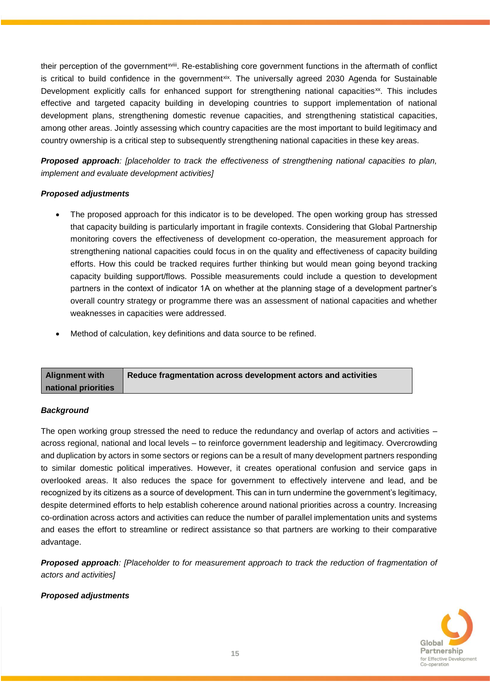their perception of the governmentxviii. Re-establishing core government functions in the aftermath of conflict is critical to build confidence in the government<sup>xix</sup>. The universally agreed 2030 Agenda for Sustainable Development explicitly calls for enhanced support for strengthening national capacities<sup>xx</sup>. This includes effective and targeted capacity building in developing countries to support implementation of national development plans, strengthening domestic revenue capacities, and strengthening statistical capacities, among other areas. Jointly assessing which country capacities are the most important to build legitimacy and country ownership is a critical step to subsequently strengthening national capacities in these key areas.

*Proposed approach: [placeholder to track the effectiveness of strengthening national capacities to plan, implement and evaluate development activities]*

#### *Proposed adjustments*

- The proposed approach for this indicator is to be developed. The open working group has stressed that capacity building is particularly important in fragile contexts. Considering that Global Partnership monitoring covers the effectiveness of development co-operation, the measurement approach for strengthening national capacities could focus in on the quality and effectiveness of capacity building efforts. How this could be tracked requires further thinking but would mean going beyond tracking capacity building support/flows. Possible measurements could include a question to development partners in the context of indicator 1A on whether at the planning stage of a development partner's overall country strategy or programme there was an assessment of national capacities and whether weaknesses in capacities were addressed.
- Method of calculation, key definitions and data source to be refined.

| <b>Alignment with</b> | Reduce fragmentation across development actors and activities |
|-----------------------|---------------------------------------------------------------|
| national priorities   |                                                               |

#### *Background*

The open working group stressed the need to reduce the redundancy and overlap of actors and activities – across regional, national and local levels – to reinforce government leadership and legitimacy. Overcrowding and duplication by actors in some sectors or regions can be a result of many development partners responding to similar domestic political imperatives. However, it creates operational confusion and service gaps in overlooked areas. It also reduces the space for government to effectively intervene and lead, and be recognized by its citizens as a source of development. This can in turn undermine the government's legitimacy, despite determined efforts to help establish coherence around national priorities across a country. Increasing co-ordination across actors and activities can reduce the number of parallel implementation units and systems and eases the effort to streamline or redirect assistance so that partners are working to their comparative advantage.

**Proposed approach**: [Placeholder to for measurement approach to track the reduction of fragmentation of *actors and activities]* 

#### *Proposed adjustments*

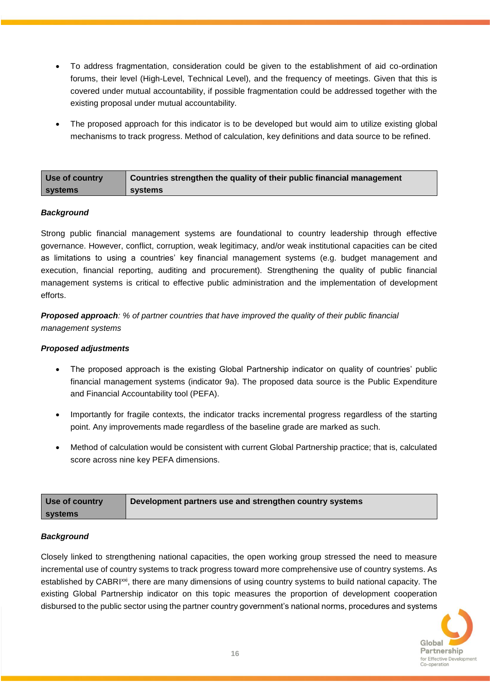- To address fragmentation, consideration could be given to the establishment of aid co-ordination forums, their level (High-Level, Technical Level), and the frequency of meetings. Given that this is covered under mutual accountability, if possible fragmentation could be addressed together with the existing proposal under mutual accountability.
- The proposed approach for this indicator is to be developed but would aim to utilize existing global mechanisms to track progress. Method of calculation, key definitions and data source to be refined.

| Use of country | <b>Countries strengthen the quality of their public financial management</b> |
|----------------|------------------------------------------------------------------------------|
| <b>systems</b> | systems                                                                      |

#### *Background*

Strong public financial management systems are foundational to country leadership through effective governance. However, conflict, corruption, weak legitimacy, and/or weak institutional capacities can be cited as limitations to using a countries' key financial management systems (e.g. budget management and execution, financial reporting, auditing and procurement). Strengthening the quality of public financial management systems is critical to effective public administration and the implementation of development efforts.

*Proposed approach: % of partner countries that have improved the quality of their public financial management systems* 

#### *Proposed adjustments*

- The proposed approach is the existing Global Partnership indicator on quality of countries' public financial management systems (indicator 9a). The proposed data source is the Public Expenditure and Financial Accountability tool (PEFA).
- Importantly for fragile contexts, the indicator tracks incremental progress regardless of the starting point. Any improvements made regardless of the baseline grade are marked as such.
- Method of calculation would be consistent with current Global Partnership practice; that is, calculated score across nine key PEFA dimensions.

| Use of country | Development partners use and strengthen country systems |
|----------------|---------------------------------------------------------|
| <b>systems</b> |                                                         |

#### *Background*

Closely linked to strengthening national capacities, the open working group stressed the need to measure incremental use of country systems to track progress toward more comprehensive use of country systems. As established by CABRI<sup>xxi</sup>, there are many dimensions of using country systems to build national capacity. The existing Global Partnership indicator on this topic measures the proportion of development cooperation disbursed to the public sector using the partner country government's national norms, procedures and systems

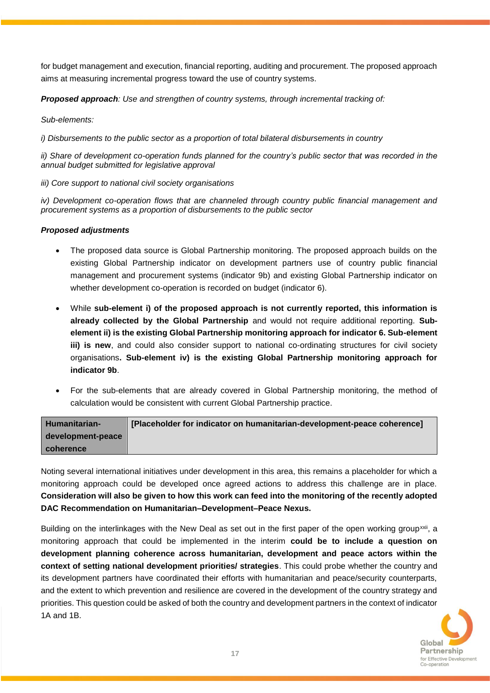for budget management and execution, financial reporting, auditing and procurement. The proposed approach aims at measuring incremental progress toward the use of country systems.

*Proposed approach: Use and strengthen of country systems, through incremental tracking of:*

*Sub-elements:*

*i)* Disbursements to the public sector as a proportion of total bilateral disbursements in country

*ii) Share of development co-operation funds planned for the country's public sector that was recorded in the annual budget submitted for legislative approval* 

*iii) Core support to national civil society organisations* 

*iv) Development co-operation flows that are channeled through country public financial management and procurement systems as a proportion of disbursements to the public sector*

#### *Proposed adjustments*

- The proposed data source is Global Partnership monitoring. The proposed approach builds on the existing Global Partnership indicator on development partners use of country public financial management and procurement systems (indicator 9b) and existing Global Partnership indicator on whether development co-operation is recorded on budget (indicator 6).
- While **sub-element i) of the proposed approach is not currently reported, this information is already collected by the Global Partnership** and would not require additional reporting. **Subelement ii) is the existing Global Partnership monitoring approach for indicator 6. Sub-element iii) is new**, and could also consider support to national co-ordinating structures for civil society organisations**. Sub-element iv) is the existing Global Partnership monitoring approach for indicator 9b**.
- For the sub-elements that are already covered in Global Partnership monitoring, the method of calculation would be consistent with current Global Partnership practice.

| Humanitarian-     | [Placeholder for indicator on humanitarian-development-peace coherence] |
|-------------------|-------------------------------------------------------------------------|
| development-peace |                                                                         |
| coherence         |                                                                         |

Noting several international initiatives under development in this area, this remains a placeholder for which a monitoring approach could be developed once agreed actions to address this challenge are in place. **Consideration will also be given to how this work can feed into the monitoring of the recently adopted DAC Recommendation on Humanitarian–Development–Peace Nexus.**

Building on the interlinkages with the New Deal as set out in the first paper of the open working group<sup>xxii</sup>, a monitoring approach that could be implemented in the interim **could be to include a question on development planning coherence across humanitarian, development and peace actors within the context of setting national development priorities/ strategies**. This could probe whether the country and its development partners have coordinated their efforts with humanitarian and peace/security counterparts, and the extent to which prevention and resilience are covered in the development of the country strategy and priorities. This question could be asked of both the country and development partners in the context of indicator 1A and 1B.

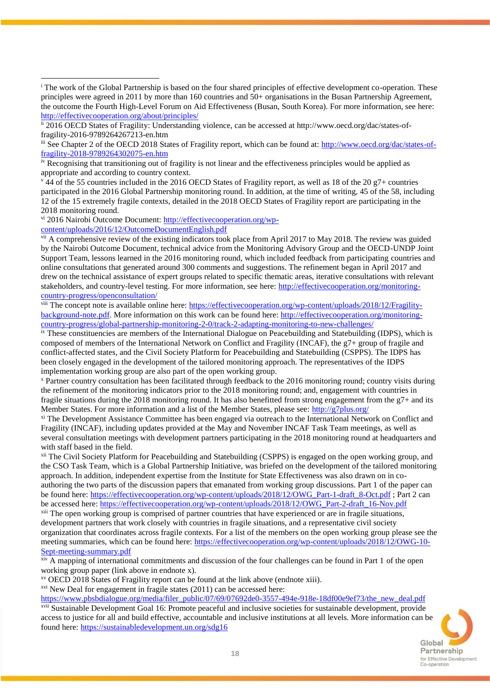$\frac{1}{2}$  44 of the 55 countries included in the 2016 OECD States of Fragility report, as well as 18 of the 20 g7+ countries participated in the 2016 Global Partnership monitoring round. In addition, at the time of writing, 45 of the 58, including 12 of the 15 extremely fragile contexts, detailed in the 2018 OECD States of Fragility report are participating in the 2018 monitoring round.

vi 2016 Nairobi Outcome Document: [http://effectivecooperation.org/wp-](http://effectivecooperation.org/wp-content/uploads/2016/12/OutcomeDocumentEnglish.pdf)

[content/uploads/2016/12/OutcomeDocumentEnglish.pdf](http://effectivecooperation.org/wp-content/uploads/2016/12/OutcomeDocumentEnglish.pdf)

 $\overline{a}$ 

<sup>vii</sup> A comprehensive review of the existing indicators took place from April 2017 to May 2018. The review was guided by the Nairobi Outcome Document, technical advice from the Monitoring Advisory Group and the OECD-UNDP Joint Support Team, lessons learned in the 2016 monitoring round, which included feedback from participating countries and online consultations that generated around 300 comments and suggestions. The refinement began in April 2017 and drew on the technical assistance of expert groups related to specific thematic areas, iterative consultations with relevant stakeholders, and country-level testing. For more information, see here: [http://effectivecooperation.org/monitoring](http://effectivecooperation.org/monitoring-country-progress/openconsultation/)[country-progress/openconsultation/](http://effectivecooperation.org/monitoring-country-progress/openconsultation/)

viii The concept note is available online here: [https://effectivecooperation.org/wp-content/uploads/2018/12/Fragility](https://effectivecooperation.org/wp-content/uploads/2018/12/Fragility-background-note.pdf)[background-note.pdf.](https://effectivecooperation.org/wp-content/uploads/2018/12/Fragility-background-note.pdf) More information on this work can be found here: [http://effectivecooperation.org/monitoring](http://effectivecooperation.org/monitoring-country-progress/global-partnership-monitoring-2-0/track-2-adapting-monitoring-to-new-challenges/)[country-progress/global-partnership-monitoring-2-0/track-2-adapting-monitoring-to-new-challenges/](http://effectivecooperation.org/monitoring-country-progress/global-partnership-monitoring-2-0/track-2-adapting-monitoring-to-new-challenges/)

ix These constituencies are members of the International Dialogue on Peacebuilding and Statebuilding (IDPS), which is composed of members of the International Network on Conflict and Fragility (INCAF), the g7+ group of fragile and conflict-affected states, and the Civil Society Platform for Peacebuilding and Statebuilding (CSPPS). The IDPS has been closely engaged in the development of the tailored monitoring approach. The representatives of the IDPS implementation working group are also part of the open working group.

<sup>x</sup> Partner country consultation has been facilitated through feedback to the 2016 monitoring round; country visits during the refinement of the monitoring indicators prior to the 2018 monitoring round; and, engagement with countries in fragile situations during the 2018 monitoring round. It has also benefitted from strong engagement from the g7+ and its Member States. For more information and a list of the Member States, please see:<http://g7plus.org/>

xi The Development Assistance Committee has been engaged via outreach to the International Network on Conflict and Fragility (INCAF), including updates provided at the May and November INCAF Task Team meetings, as well as several consultation meetings with development partners participating in the 2018 monitoring round at headquarters and with staff based in the field.

xii The Civil Society Platform for Peacebuilding and Statebuilding (CSPPS) is engaged on the open working group, and the CSO Task Team, which is a Global Partnership Initiative, was briefed on the development of the tailored monitoring approach. In addition, independent expertise from the Institute for State Effectiveness was also drawn on in coauthoring the two parts of the discussion papers that emanated from working group discussions. Part 1 of the paper can be found here: [https://effectivecooperation.org/wp-content/uploads/2018/12/OWG\\_Part-1-draft\\_8-Oct.pdf](https://effectivecooperation.org/wp-content/uploads/2018/12/OWG_Part-1-draft_8-Oct.pdf) ; Part 2 can be accessed here: [https://effectivecooperation.org/wp-content/uploads/2018/12/OWG\\_Part-2-draft\\_16-Nov.pdf](https://effectivecooperation.org/wp-content/uploads/2018/12/OWG_Part-2-draft_16-Nov.pdf)

xiii The open working group is comprised of partner countries that have experienced or are in fragile situations, development partners that work closely with countries in fragile situations, and a representative civil society organization that coordinates across fragile contexts. For a list of the members on the open working group please see the meeting summaries, which can be found here: [https://effectivecooperation.org/wp-content/uploads/2018/12/OWG-10-](https://effectivecooperation.org/wp-content/uploads/2018/12/OWG-10-Sept-meeting-summary.pdf) [Sept-meeting-summary.pdf](https://effectivecooperation.org/wp-content/uploads/2018/12/OWG-10-Sept-meeting-summary.pdf)

xiv A mapping of international commitments and discussion of the four challenges can be found in Part 1 of the open working group paper (link above in endnote x).

xv OECD 2018 States of Fragility report can be found at the link above (endnote xiii).

xvi New Deal for engagement in fragile states (2011) can be accessed here:

[https://www.pbsbdialogue.org/media/filer\\_public/07/69/07692de0-3557-494e-918e-18df00e9ef73/the\\_new\\_deal.pdf](https://www.pbsbdialogue.org/media/filer_public/07/69/07692de0-3557-494e-918e-18df00e9ef73/the_new_deal.pdf) xvii Sustainable Development Goal 16: Promote peaceful and inclusive societies for sustainable development, provide access to justice for all and build effective, accountable and inclusive institutions at all levels. More information can be found here:<https://sustainabledevelopment.un.org/sdg16>



<sup>&</sup>lt;sup>i</sup> The work of the Global Partnership is based on the four shared principles of effective development co-operation. These principles were agreed in 2011 by more than 160 countries and 50+ organisations in the Busan Partnership Agreement, the outcome the Fourth High-Level Forum on Aid Effectiveness (Busan, South Korea). For more information, see here: <http://effectivecooperation.org/about/principles/>

ii 2016 OECD States of Fragility: Understanding violence, can be accessed at http://www.oecd.org/dac/states-offragility-2016-9789264267213-en.htm

iii See Chapter 2 of the OECD 2018 States of Fragility report, which can be found at: [http://www.oecd.org/dac/states-of](http://www.oecd.org/dac/states-of-fragility-2018-9789264302075-en.htm)[fragility-2018-9789264302075-en.htm](http://www.oecd.org/dac/states-of-fragility-2018-9789264302075-en.htm)

iv Recognising that transitioning out of fragility is not linear and the effectiveness principles would be applied as appropriate and according to country context.